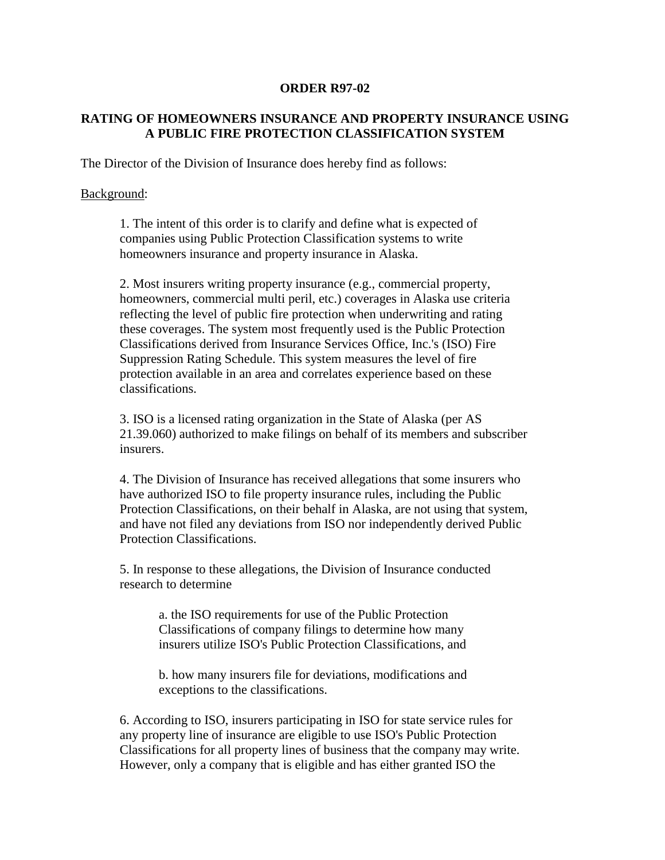## **ORDER R97-02**

## **RATING OF HOMEOWNERS INSURANCE AND PROPERTY INSURANCE USING A PUBLIC FIRE PROTECTION CLASSIFICATION SYSTEM**

The Director of the Division of Insurance does hereby find as follows:

## Background:

1. The intent of this order is to clarify and define what is expected of companies using Public Protection Classification systems to write homeowners insurance and property insurance in Alaska.

2. Most insurers writing property insurance (e.g., commercial property, homeowners, commercial multi peril, etc.) coverages in Alaska use criteria reflecting the level of public fire protection when underwriting and rating these coverages. The system most frequently used is the Public Protection Classifications derived from Insurance Services Office, Inc.'s (ISO) Fire Suppression Rating Schedule. This system measures the level of fire protection available in an area and correlates experience based on these classifications.

3. ISO is a licensed rating organization in the State of Alaska (per AS 21.39.060) authorized to make filings on behalf of its members and subscriber insurers.

4. The Division of Insurance has received allegations that some insurers who have authorized ISO to file property insurance rules, including the Public Protection Classifications, on their behalf in Alaska, are not using that system, and have not filed any deviations from ISO nor independently derived Public Protection Classifications.

5. In response to these allegations, the Division of Insurance conducted research to determine

> a. the ISO requirements for use of the Public Protection Classifications of company filings to determine how many insurers utilize ISO's Public Protection Classifications, and

> b. how many insurers file for deviations, modifications and exceptions to the classifications.

6. According to ISO, insurers participating in ISO for state service rules for any property line of insurance are eligible to use ISO's Public Protection Classifications for all property lines of business that the company may write. However, only a company that is eligible and has either granted ISO the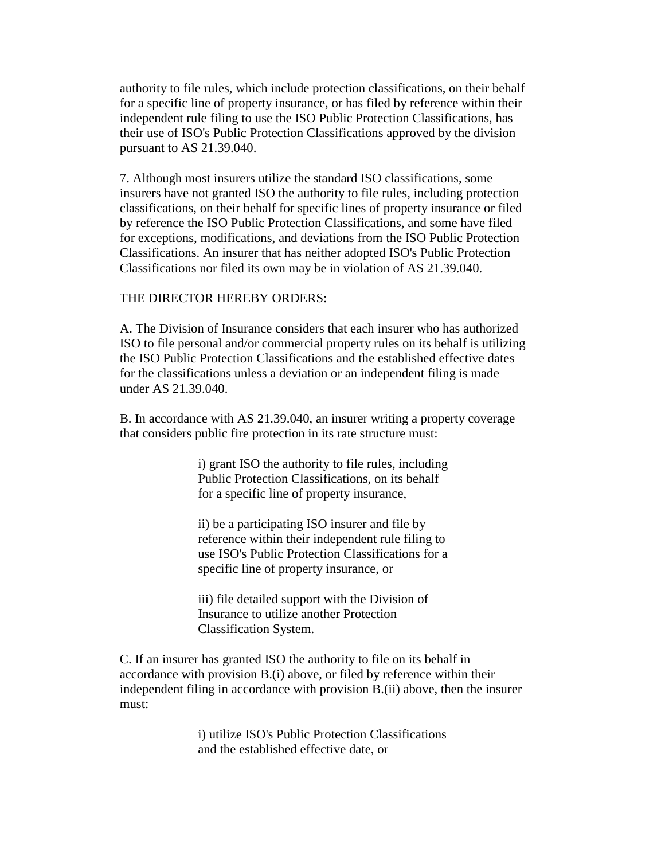authority to file rules, which include protection classifications, on their behalf for a specific line of property insurance, or has filed by reference within their independent rule filing to use the ISO Public Protection Classifications, has their use of ISO's Public Protection Classifications approved by the division pursuant to AS 21.39.040.

7. Although most insurers utilize the standard ISO classifications, some insurers have not granted ISO the authority to file rules, including protection classifications, on their behalf for specific lines of property insurance or filed by reference the ISO Public Protection Classifications, and some have filed for exceptions, modifications, and deviations from the ISO Public Protection Classifications. An insurer that has neither adopted ISO's Public Protection Classifications nor filed its own may be in violation of AS 21.39.040.

## THE DIRECTOR HEREBY ORDERS:

A. The Division of Insurance considers that each insurer who has authorized ISO to file personal and/or commercial property rules on its behalf is utilizing the ISO Public Protection Classifications and the established effective dates for the classifications unless a deviation or an independent filing is made under AS 21.39.040.

B. In accordance with AS 21.39.040, an insurer writing a property coverage that considers public fire protection in its rate structure must:

> i) grant ISO the authority to file rules, including Public Protection Classifications, on its behalf for a specific line of property insurance,

> ii) be a participating ISO insurer and file by reference within their independent rule filing to use ISO's Public Protection Classifications for a specific line of property insurance, or

iii) file detailed support with the Division of Insurance to utilize another Protection Classification System.

C. If an insurer has granted ISO the authority to file on its behalf in accordance with provision B.(i) above, or filed by reference within their independent filing in accordance with provision B.(ii) above, then the insurer must:

> i) utilize ISO's Public Protection Classifications and the established effective date, or